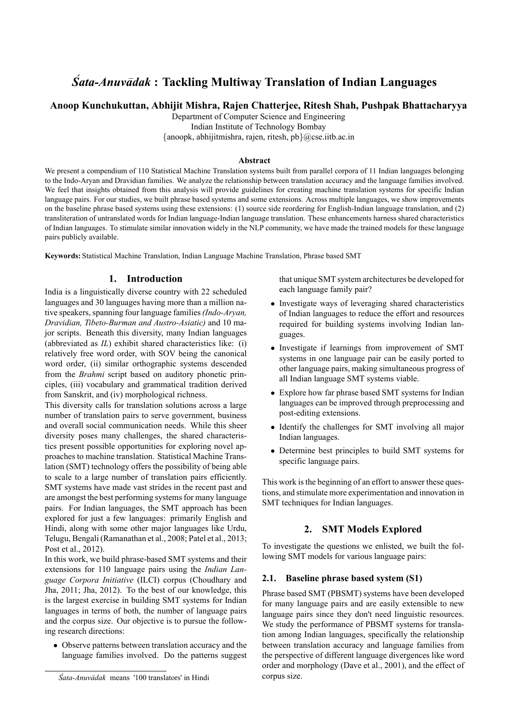# **Sata-Anuvadak**: Tackling Multiway Translation of Indian Languages

# **Anoop Kunchukuttan, Abhijit Mishra, Rajen Chatterjee, Ritesh Shah, Pushpak Bhattacharyya**

Department of Computer Science and Engineering Indian Institute of Technology Bombay

*{*anoopk, abhijitmishra, rajen, ritesh, pb*}*@cse.iitb.ac.in

#### **Abstract**

We present a compendium of 110 Statistical Machine Translation systems built from parallel corpora of 11 Indian languages belonging to the Indo-Aryan and Dravidian families. We analyze the relationship between translation accuracy and the language families involved. We feel that insights obtained from this analysis will provide guidelines for creating machine translation systems for specific Indian language pairs. For our studies, we built phrase based systems and some extensions. Across multiple languages, we show improvements on the baseline phrase based systems using these extensions: (1) source side reordering for English-Indian language translation, and (2) transliteration of untranslated words for Indian language-Indian language translation. These enhancements harness shared characteristics of Indian languages. To stimulate similar innovation widely in the NLP community, we have made the trained models for these language pairs publicly available.

**Keywords:** Statistical Machine Translation, Indian Language Machine Translation, Phrase based SMT

# **1. Introduction**

India is a linguistically diverse country with 22 scheduled languages and 30 languages having more than a million native speakers, spanning four language families*(Indo-Aryan, Dravidian, Tibeto-Burman and Austro-Asiatic)* and 10 major scripts. Beneath this diversity, many Indian languages (abbreviated as *IL*) exhibit shared characteristics like: (i) relatively free word order, with SOV being the canonical word order, (ii) similar orthographic systems descended from the *Brahmi* script based on auditory phonetic principles, (iii) vocabulary and grammatical tradition derived from Sanskrit, and (iv) morphological richness.

This diversity calls for translation solutions across a large number of translation pairs to serve government, business and overall social communication needs. While this sheer diversity poses many challenges, the shared characteristics present possible opportunities for exploring novel approaches to machine translation. Statistical Machine Translation (SMT) technology offers the possibility of being able to scale to a large number of translation pairs efficiently. SMT systems have made vast strides in the recent past and are amongst the best performing systems for many language pairs. For Indian languages, the SMT approach has been explored for just a few languages: primarily English and Hindi, along with some other major languages like Urdu, Telugu, Bengali (Ramanathan et al., 2008; Patel et al., 2013; Post et al., 2012).

In this work, we build phrase-based SMT systems and their extensions for 110 language pairs using the *Indian Language Corpora Initiative* (ILCI) corpus (Choudhary and Jha, 2011; Jha, 2012). To the best of our knowledge, this is the largest exercise in building SMT systems for Indian languages in terms of both, the number of language pairs and the corpus size. Our objective is to pursue the following research directions:

*•* Observe patterns between translation accuracy and the language families involved. Do the patterns suggest that unique SMT system architectures be developed for each language family pair?

- *•* Investigate ways of leveraging shared characteristics of Indian languages to reduce the effort and resources required for building systems involving Indian languages.
- *•* Investigate if learnings from improvement of SMT systems in one language pair can be easily ported to other language pairs, making simultaneous progress of all Indian language SMT systems viable.
- *•* Explore how far phrase based SMT systems for Indian languages can be improved through preprocessing and post-editing extensions.
- *•* Identify the challenges for SMT involving all major Indian languages.
- *•* Determine best principles to build SMT systems for specific language pairs.

This work is the beginning of an effort to answer these questions, and stimulate more experimentation and innovation in SMT techniques for Indian languages.

# **2. SMT Models Explored**

To investigate the questions we enlisted, we built the following SMT models for various language pairs:

#### **2.1. Baseline phrase based system (S1)**

Phrase based SMT (PBSMT) systems have been developed for many language pairs and are easily extensible to new language pairs since they don't need linguistic resources. We study the performance of PBSMT systems for translation among Indian languages, specifically the relationship between translation accuracy and language families from the perspective of different language divergences like word order and morphology (Dave et al., 2001), and the effect of corpus size.

*Śata-Anuvādak* means '100 translators' in Hindi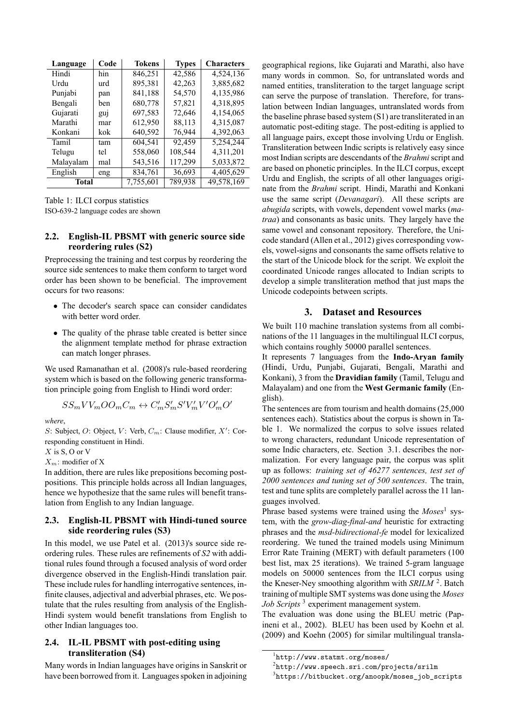| Language  | Code | <b>Tokens</b> | <b>Types</b> | <b>Characters</b> |
|-----------|------|---------------|--------------|-------------------|
| Hindi     | hin  | 846,251       | 42,586       | 4,524,136         |
| Urdu      | urd  | 895,381       | 42,263       | 3,885,682         |
| Punjabi   | pan  | 841,188       | 54,570       | 4,135,986         |
| Bengali   | ben  | 680,778       | 57,821       | 4,318,895         |
| Gujarati  | guj  | 697,583       | 72,646       | 4,154,065         |
| Marathi   | mar  | 612,950       | 88,113       | 4,315,087         |
| Konkani   | kok  | 640,592       | 76,944       | 4,392,063         |
| Tamil     | tam  | 604,541       | 92,459       | 5,254,244         |
| Telugu    | tel  | 558,060       | 108,544      | 4,311,201         |
| Malayalam | mal  | 543,516       | 117,299      | 5,033,872         |
| English   | eng  | 834,761       | 36,693       | 4,405,629         |
| Total     |      | 7,755,601     | 789,938      | 49,578,169        |

Table 1: ILCI corpus statistics ISO-639-2 language codes are shown

#### **2.2. English-IL PBSMT with generic source side reordering rules (S2)**

Preprocessing the training and test corpus by reordering the source side sentences to make them conform to target word order has been shown to be beneficial. The improvement occurs for two reasons:

- *•* The decoder's search space can consider candidates with better word order.
- The quality of the phrase table created is better since the alignment template method for phrase extraction can match longer phrases.

We used Ramanathan et al. (2008)'s rule-based reordering system which is based on the following generic transformation principle going from English to Hindi word order:

$$
SS_mVV_mOO_mC_m \leftrightarrow C_m'S_m'S'V_m'V'O_m'O'
$$

*where*,

*S*: Subject, *O*: Object, *V*: Verb,  $C_m$ : Clause modifier,  $X'$ : Corresponding constituent in Hindi.

*X* is S, O or V

*Xm*: modifier of X

In addition, there are rules like prepositions becoming postpositions. This principle holds across all Indian languages, hence we hypothesize that the same rules will benefit translation from English to any Indian language.

#### **2.3. English-IL PBSMT with Hindi-tuned source side reordering rules (S3)**

In this model, we use Patel et al. (2013)'s source side reordering rules. These rules are refinements of *S2* with additional rules found through a focused analysis of word order divergence observed in the English-Hindi translation pair. These include rules for handling interrogative sentences, infinite clauses, adjectival and adverbial phrases, etc. We postulate that the rules resulting from analysis of the English-Hindi system would benefit translations from English to other Indian languages too.

#### **2.4. IL-IL PBSMT with post-editing using transliteration (S4)**

Many words in Indian languages have origins in Sanskrit or have been borrowed from it. Languages spoken in adjoining geographical regions, like Gujarati and Marathi, also have many words in common. So, for untranslated words and named entities, transliteration to the target language script can serve the purpose of translation. Therefore, for translation between Indian languages, untranslated words from the baseline phrase based system (S1) are transliterated in an automatic post-editing stage. The post-editing is applied to all language pairs, except those involving Urdu or English. Transliteration between Indic scripts is relatively easy since most Indian scripts are descendants of the *Brahmi*script and are based on phonetic principles. In the ILCI corpus, except Urdu and English, the scripts of all other languages originate from the *Brahmi* script. Hindi, Marathi and Konkani use the same script (*Devanagari*). All these scripts are *abugida* scripts, with vowels, dependent vowel marks (*matraa*) and consonants as basic units. They largely have the same vowel and consonant repository. Therefore, the Unicode standard (Allen et al., 2012) gives corresponding vowels, vowel-signs and consonants the same offsets relative to the start of the Unicode block for the script. We exploit the coordinated Unicode ranges allocated to Indian scripts to develop a simple transliteration method that just maps the Unicode codepoints between scripts.

## **3. Dataset and Resources**

We built 110 machine translation systems from all combinations of the 11 languages in the multilingual ILCI corpus, which contains roughly 50000 parallel sentences.

It represents 7 languages from the **Indo-Aryan family** (Hindi, Urdu, Punjabi, Gujarati, Bengali, Marathi and Konkani), 3 from the **Dravidian family** (Tamil, Telugu and Malayalam) and one from the **West Germanic family** (English).

The sentences are from tourism and health domains (25,000 sentences each). Statistics about the corpus is shown in Table 1. We normalized the corpus to solve issues related to wrong characters, redundant Unicode representation of some Indic characters, etc. Section 3.1. describes the normalization. For every language pair, the corpus was split up as follows: *training set of 46277 sentences, test set of 2000 sentences and tuning set of 500 sentences*. The train, test and tune splits are completely parallel across the 11 languages involved.

Phrase based systems were trained using the *Moses*<sup>1</sup> system, with the *grow-diag-final-and* heuristic for extracting phrases and the *msd-bidirectional-fe* model for lexicalized reordering. We tuned the trained models using Minimum Error Rate Training (MERT) with default parameters (100 best list, max 25 iterations). We trained 5-gram language models on 50000 sentences from the ILCI corpus using the Kneser-Ney smoothing algorithm with *SRILM*<sup>2</sup>. Batch training of multiple SMT systems was done using the *Moses Job Scripts* <sup>3</sup> experiment management system.

The evaluation was done using the BLEU metric (Papineni et al., 2002). BLEU has been used by Koehn et al. (2009) and Koehn (2005) for similar multilingual transla-

3 https://bitbucket.org/anoopk/moses\_job\_scripts

<sup>1</sup> http://www.statmt.org/moses/

 $^{2}$ http://www.speech.sri.com/projects/srilm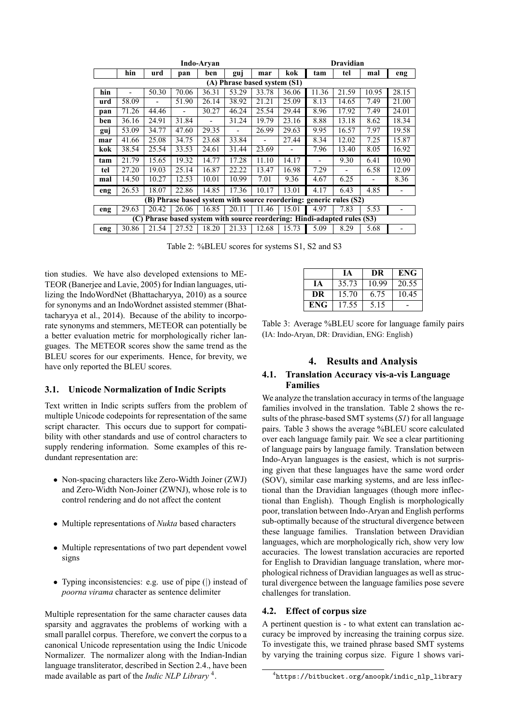| Indo-Arvan                                                         |                              |       |       |                          |                          |                          |                                                                          |       | Dravidian |       |       |
|--------------------------------------------------------------------|------------------------------|-------|-------|--------------------------|--------------------------|--------------------------|--------------------------------------------------------------------------|-------|-----------|-------|-------|
|                                                                    | hin                          | urd   | pan   | ben                      | guj                      | mar                      | kok                                                                      | tam   | tel       | mal   | eng   |
|                                                                    | (A) Phrase based system (S1) |       |       |                          |                          |                          |                                                                          |       |           |       |       |
| hin                                                                |                              | 50.30 | 70.06 | 36.31                    | 53.29                    | 33.78                    | 36.06                                                                    | 11.36 | 21.59     | 10.95 | 28.15 |
| urd                                                                | 58.09                        |       | 51.90 | 26.14                    | 38.92                    | 21.21                    | 25.09                                                                    | 8.13  | 14.65     | 7.49  | 21.00 |
| pan                                                                | 71.26                        | 44.46 | -     | 30.27                    | 46.24                    | 25.54                    | 29.44                                                                    | 8.96  | 17.92     | 7.49  | 24.01 |
| ben                                                                | 36.16                        | 24.91 | 31.84 | $\overline{\phantom{0}}$ | 31.24                    | 19.79                    | 23.16                                                                    | 8.88  | 13.18     | 8.62  | 18.34 |
| guj                                                                | 53.09                        | 34.77 | 47.60 | 29.35                    | $\overline{\phantom{0}}$ | 26.99                    | 29.63                                                                    | 9.95  | 16.57     | 7.97  | 19.58 |
| mar                                                                | 41.66                        | 25.08 | 34.75 | 23.68                    | 33.84                    | $\overline{\phantom{0}}$ | 27.44                                                                    | 8.34  | 12.02     | 7.25  | 15.87 |
| kok                                                                | 38.54                        | 25.54 | 33.53 | 24.61                    | 31.44                    | 23.69                    | -                                                                        | 7.96  | 13.40     | 8.05  | 16.92 |
| tam                                                                | 21.79                        | 15.65 | 19.32 | 14.77                    | 17.28                    | 11.10                    | 14.17                                                                    |       | 9.30      | 6.41  | 10.90 |
| tel                                                                | 27.20                        | 19.03 | 25.14 | 16.87                    | 22.22                    | 13.47                    | 16.98                                                                    | 7.29  |           | 6.58  | 12.09 |
| mal                                                                | 14.50                        | 10.27 | 12.53 | 10.01                    | 10.99                    | 7.01                     | 9.36                                                                     | 4.67  | 6.25      |       | 8.36  |
| eng                                                                | 26.53                        | 18.07 | 22.86 | 14.85                    | 17.36                    | 10.17                    | 13.01                                                                    | 4.17  | 6.43      | 4.85  |       |
| (B) Phrase based system with source reordering: generic rules (S2) |                              |       |       |                          |                          |                          |                                                                          |       |           |       |       |
| eng                                                                | 29.63                        | 20.42 | 26.06 | 16.85                    | 20.11                    | 11.46                    | 15.01                                                                    | 4.97  | 7.83      | 5.53  |       |
|                                                                    |                              |       |       |                          |                          |                          | (C) Phrase based system with source reordering: Hindi-adapted rules (S3) |       |           |       |       |
| eng                                                                | 30.86                        | 21.54 | 27.52 | 18.20                    | 21.33                    | 12.68                    | 15.73                                                                    | 5.09  | 8.29      | 5.68  |       |

Table 2: %BLEU scores for systems S1, S2 and S3

tion studies. We have also developed extensions to ME-TEOR (Banerjee and Lavie, 2005) for Indian languages, utilizing the IndoWordNet (Bhattacharyya, 2010) as a source for synonyms and an IndoWordnet assisted stemmer (Bhattacharyya et al., 2014). Because of the ability to incorporate synonyms and stemmers, METEOR can potentially be a better evaluation metric for morphologically richer languages. The METEOR scores show the same trend as the BLEU scores for our experiments. Hence, for brevity, we have only reported the BLEU scores.

#### **3.1. Unicode Normalization of Indic Scripts**

Text written in Indic scripts suffers from the problem of multiple Unicode codepoints for representation of the same script character. This occurs due to support for compatibility with other standards and use of control characters to supply rendering information. Some examples of this redundant representation are:

- *•* Non-spacing characters like Zero-Width Joiner (ZWJ) and Zero-Width Non-Joiner (ZWNJ), whose role is to control rendering and do not affect the content
- *•* Multiple representations of *Nukta* based characters
- *•* Multiple representations of two part dependent vowel signs
- *•* Typing inconsistencies: e.g. use of pipe (*|*) instead of *poorna virama* character as sentence delimiter

Multiple representation for the same character causes data sparsity and aggravates the problems of working with a small parallel corpus. Therefore, we convert the corpus to a canonical Unicode representation using the Indic Unicode Normalizer. The normalizer along with the Indian-Indian language transliterator, described in Section 2.4., have been made available as part of the *Indic NLP Library* <sup>4</sup> .

|      | IА    | DR    | <b>ENG</b> |
|------|-------|-------|------------|
| ĪА   | 35.73 | 10.99 | 20.55      |
| DR   | 15.70 | 6.75  | 10.45      |
| ENG- | 17.55 | 5.15  |            |

Table 3: Average %BLEU score for language family pairs (IA: Indo-Aryan, DR: Dravidian, ENG: English)

#### **4. Results and Analysis**

#### **4.1. Translation Accuracy vis-a-vis Language Families**

We analyze the translation accuracy in terms of the language families involved in the translation. Table 2 shows the results of the phrase-based SMT systems (*S1*) for all language pairs. Table 3 shows the average %BLEU score calculated over each language family pair. We see a clear partitioning of language pairs by language family. Translation between Indo-Aryan languages is the easiest, which is not surprising given that these languages have the same word order (SOV), similar case marking systems, and are less inflectional than the Dravidian languages (though more inflectional than English). Though English is morphologically poor, translation between Indo-Aryan and English performs sub-optimally because of the structural divergence between these language families. Translation between Dravidian languages, which are morphologically rich, show very low accuracies. The lowest translation accuracies are reported for English to Dravidian language translation, where morphological richness of Dravidian languages as well as structural divergence between the language families pose severe challenges for translation.

#### **4.2. Effect of corpus size**

A pertinent question is - to what extent can translation accuracy be improved by increasing the training corpus size. To investigate this, we trained phrase based SMT systems by varying the training corpus size. Figure 1 shows vari-

<sup>4</sup> https://bitbucket.org/anoopk/indic\_nlp\_library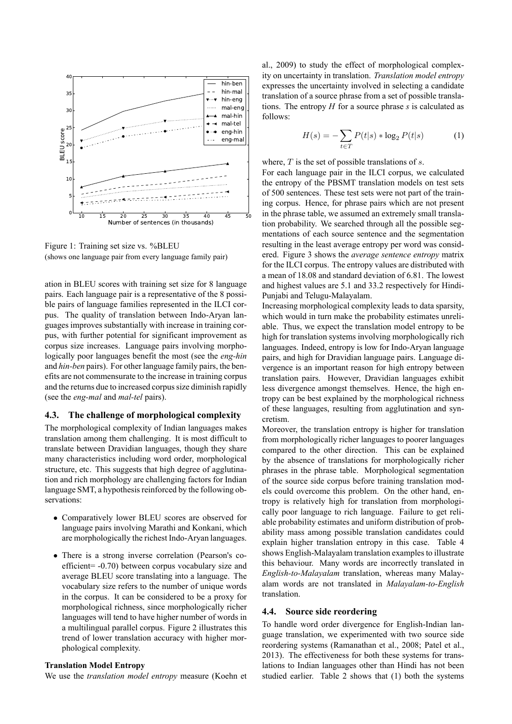

Figure 1: Training set size vs. %BLEU (shows one language pair from every language family pair)

ation in BLEU scores with training set size for 8 language pairs. Each language pair is a representative of the 8 possible pairs of language families represented in the ILCI corpus. The quality of translation between Indo-Aryan languages improves substantially with increase in training corpus, with further potential for significant improvement as corpus size increases. Language pairs involving morphologically poor languages benefit the most (see the *eng-hin* and *hin-ben* pairs). For other language family pairs, the benefits are not commensurate to the increase in training corpus and the returns due to increased corpus size diminish rapidly (see the *eng-mal* and *mal-tel* pairs).

#### **4.3. The challenge of morphological complexity**

The morphological complexity of Indian languages makes translation among them challenging. It is most difficult to translate between Dravidian languages, though they share many characteristics including word order, morphological structure, etc. This suggests that high degree of agglutination and rich morphology are challenging factors for Indian language SMT, a hypothesis reinforced by the following observations:

- *•* Comparatively lower BLEU scores are observed for language pairs involving Marathi and Konkani, which are morphologically the richest Indo-Aryan languages.
- There is a strong inverse correlation (Pearson's coefficient= -0.70) between corpus vocabulary size and average BLEU score translating into a language. The vocabulary size refers to the number of unique words in the corpus. It can be considered to be a proxy for morphological richness, since morphologically richer languages will tend to have higher number of words in a multilingual parallel corpus. Figure 2 illustrates this trend of lower translation accuracy with higher morphological complexity.

#### **Translation Model Entropy**

We use the *translation model entropy* measure (Koehn et

al., 2009) to study the effect of morphological complexity on uncertainty in translation. *Translation model entropy* expresses the uncertainty involved in selecting a candidate translation of a source phrase from a set of possible translations. The entropy *H* for a source phrase *s* is calculated as follows:

$$
H(s) = -\sum_{t \in T} P(t|s) * \log_2 P(t|s)
$$
 (1)

where, *T* is the set of possible translations of *s*.

For each language pair in the ILCI corpus, we calculated the entropy of the PBSMT translation models on test sets of 500 sentences. These test sets were not part of the training corpus. Hence, for phrase pairs which are not present in the phrase table, we assumed an extremely small translation probability. We searched through all the possible segmentations of each source sentence and the segmentation resulting in the least average entropy per word was considered. Figure 3 shows the *average sentence entropy* matrix for the ILCI corpus. The entropy values are distributed with a mean of 18.08 and standard deviation of 6.81. The lowest and highest values are 5.1 and 33.2 respectively for Hindi-Punjabi and Telugu-Malayalam.

Increasing morphological complexity leads to data sparsity, which would in turn make the probability estimates unreliable. Thus, we expect the translation model entropy to be high for translation systems involving morphologically rich languages. Indeed, entropy is low for Indo-Aryan language pairs, and high for Dravidian language pairs. Language divergence is an important reason for high entropy between translation pairs. However, Dravidian languages exhibit less divergence amongst themselves. Hence, the high entropy can be best explained by the morphological richness of these languages, resulting from agglutination and syncretism.

Moreover, the translation entropy is higher for translation from morphologically richer languages to poorer languages compared to the other direction. This can be explained by the absence of translations for morphologically richer phrases in the phrase table. Morphological segmentation of the source side corpus before training translation models could overcome this problem. On the other hand, entropy is relatively high for translation from morphologically poor language to rich language. Failure to get reliable probability estimates and uniform distribution of probability mass among possible translation candidates could explain higher translation entropy in this case. Table 4 shows English-Malayalam translation examples to illustrate this behaviour. Many words are incorrectly translated in *English-to-Malayalam* translation, whereas many Malayalam words are not translated in *Malayalam-to-English* translation.

#### **4.4. Source side reordering**

To handle word order divergence for English-Indian language translation, we experimented with two source side reordering systems (Ramanathan et al., 2008; Patel et al., 2013). The effectiveness for both these systems for translations to Indian languages other than Hindi has not been studied earlier. Table 2 shows that (1) both the systems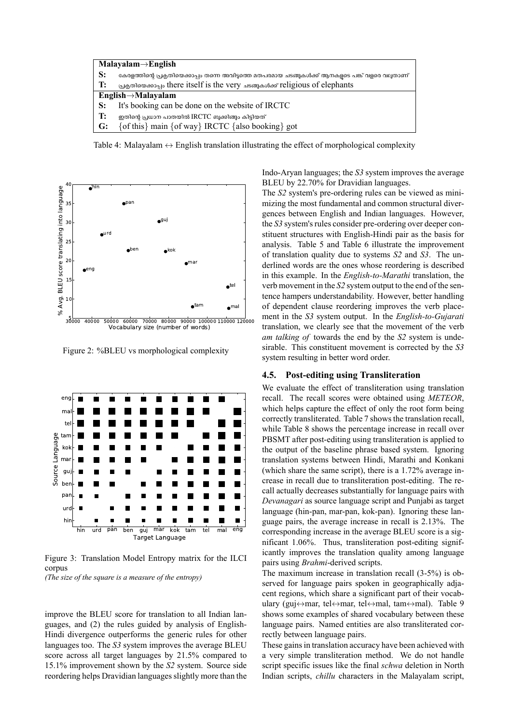

Table 4: Malayalam *↔* English translation illustrating the effect of morphological complexity



Figure 2: %BLEU vs morphological complexity



Figure 3: Translation Model Entropy matrix for the ILCI corpus *(The size of the square is a measure of the entropy)*

improve the BLEU score for translation to all Indian languages, and (2) the rules guided by analysis of English-Hindi divergence outperforms the generic rules for other languages too. The *S3* system improves the average BLEU score across all target languages by 21.5% compared to 15.1% improvement shown by the *S2* system. Source side reordering helps Dravidian languages slightly more than the Indo-Aryan languages; the *S3* system improves the average BLEU by 22.70% for Dravidian languages.

The *S2* system's pre-ordering rules can be viewed as minimizing the most fundamental and common structural divergences between English and Indian languages. However, the *S3* system's rules consider pre-ordering over deeper constituent structures with English-Hindi pair as the basis for analysis. Table 5 and Table 6 illustrate the improvement of translation quality due to systems *S2* and *S3*. The underlined words are the ones whose reordering is described in this example. In the *English-to-Marathi* translation, the verb movement in the *S2* system output to the end of the sentence hampers understandability. However, better handling of dependent clause reordering improves the verb placement in the *S3* system output. In the *English-to-Gujarati* translation, we clearly see that the movement of the verb *am talking of* towards the end by the *S2* system is undesirable. This constituent movement is corrected by the *S3* system resulting in better word order.

#### **4.5. Post-editing using Transliteration**

We evaluate the effect of transliteration using translation recall. The recall scores were obtained using *METEOR*, which helps capture the effect of only the root form being correctly transliterated. Table 7 shows the translation recall, while Table 8 shows the percentage increase in recall over PBSMT after post-editing using transliteration is applied to the output of the baseline phrase based system. Ignoring translation systems between Hindi, Marathi and Konkani (which share the same script), there is a 1.72% average increase in recall due to transliteration post-editing. The recall actually decreases substantially for language pairs with *Devanagari* as source language script and Punjabi as target language (hin-pan, mar-pan, kok-pan). Ignoring these language pairs, the average increase in recall is 2.13%. The corresponding increase in the average BLEU score is a significant 1.06%. Thus, transliteration post-editing significantly improves the translation quality among language pairs using *Brahmi*-derived scripts.

The maximum increase in translation recall (3-5%) is observed for language pairs spoken in geographically adjacent regions, which share a significant part of their vocabulary (guj*↔*mar, tel*↔*mar, tel*↔*mal, tam*↔*mal). Table 9 shows some examples of shared vocabulary between these language pairs. Named entities are also transliterated correctly between language pairs.

These gains in translation accuracy have been achieved with a very simple transliteration method. We do not handle script specific issues like the final *schwa* deletion in North Indian scripts, *chillu* characters in the Malayalam script,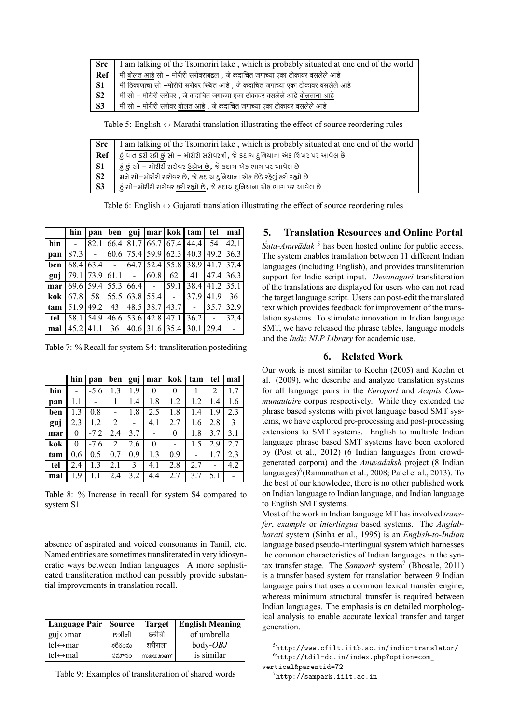| Src       | I am talking of the Tsomoriri lake, which is probably situated at one end of the world |
|-----------|----------------------------------------------------------------------------------------|
| Ref       | मी बोलत आहे सो – मोरीरी सरोवराबद्दल, जे कदाचित जगाच्या एका टोकावर वसलेले आहे           |
| -S1       | मी ठिकाणाचा सो –मोरीरी सरोवर स्थित आहे), जे कदाचित जगाच्या एका टोकावर वसलेले आहे       |
| <b>S2</b> | मी सो – मोरीरी सरोवर), जे कदाचित जगाच्या एका टोकावर वसलेले आहे बोलताना आहे             |
| <b>S3</b> | मी सो – मोरीरी सरोवर बोलत आहे , जे कदाचित जगाच्या एका टोकावर वसलेले आहे                |

Table 5: English *↔* Marathi translation illustrating the effect of source reordering rules

| <b>Src</b>     | I am talking of the Tsomoriri lake, which is probably situated at one end of the world |
|----------------|----------------------------------------------------------------------------------------|
| Ref            | .દું વાત કરી રહી છું સો – મોરીરી સરોવરની, જે કદાચ દુનિયાના એક શિખર પર આવેલ છે          |
| <b>S1</b>      | હૂં છું સો – મોરીરી સરોવર ઉદ્દોખ છે, જે કદાચ એક ભાગ પર આવેલ છે                         |
| S <sub>2</sub> | મને સો–મોરીરી સરોવર છે, જે કદાચ દુનિયાના એક છેડે રહેલું કરી રહ્યો છે                   |
| S <sub>3</sub> | દું સો–મોરીરી સરોવર કરી રહ્યો છે, જે કદાચ દુનિયાના એક ભાગ પર આવેલ છે                   |
|                |                                                                                        |

Table 6: English *↔* Gujarati translation illustrating the effect of source reordering rules

|       | hin  |        | $pan \,   \, ben$                 |           |                | guj   mar   kok   tam      |      | tel                 | mal    |
|-------|------|--------|-----------------------------------|-----------|----------------|----------------------------|------|---------------------|--------|
| hin   |      | 82.1   | 66.4                              |           |                | 81.7 66.7 67.4             | 44.4 | 54                  | 42.1   |
| pan   | 87.3 | $\sim$ |                                   |           |                | $60.6$ 75.4 59.9 62.3 40.3 |      | $49.2 \,   \, 36.3$ |        |
| ben   | 68.4 | 63.4   | $\sim$                            | 64.7      |                | $52.4$ 55.8 38.9           |      | 41.7                | 37.4   |
| guj   | 79.1 | 73.9   | 61.1                              | $\sim 10$ | 60.8           | 62                         | 41   | 47.4                | 36.3   |
| mar l | 69.6 |        | $59.4 \mid 55.3 \mid 66.4 \mid$ - |           |                | 59.1                       | 38.4 | 41.2 35.1           |        |
| kok   | 67.8 | 58     |                                   |           | 55.5 63.8 55.4 | $\sim$                     | 37.9 | 41.9                | 36     |
| tam   | 51.9 | 49.2   | 43                                |           |                | 48.5 38.7 43.7             |      | 35.7                | 32.9   |
| tel   | 58.1 | 54.9   |                                   | 46.6 53.6 | 42.8           | 47.1                       | 36.2 |                     | 32.4   |
| mal   | 45.2 | 41.1   | 36                                | 40.6      |                | $31.6$ 35.4 30.1           |      | 29.4                | $\sim$ |

Table 7: % Recall for system S4: transliteration postediting

|     | hin | pan    | ben            | guj | mar      | kok            | tam | tel | mal |
|-----|-----|--------|----------------|-----|----------|----------------|-----|-----|-----|
| hin |     | $-5.6$ | 1.3            | 1.9 | $\theta$ | 0              |     | 2   | 1.7 |
| pan | 1.1 |        |                | 1.4 | 1.8      | 1.2            | 1.2 | 1.4 | 1.6 |
| ben | 1.3 | 0.8    |                | 1.8 | 2.5      | 1.8            | 1.4 | 1.9 | 2.3 |
| guj | 2.3 | 1.2    | 2              |     | 4.1      | 2.7            | 1.6 | 2.8 | 3   |
| mar | 0   | $-7.2$ | 2.4            | 3.7 |          | $\theta$       | 1.8 | 3.7 | 3.1 |
| kok | 0   | $-7.6$ | $\overline{2}$ | 2.6 | $\theta$ | $\blacksquare$ | 1.5 | 2.9 | 2.7 |
| tam | 0.6 | 0.5    | 0.7            | 0.9 | 1.3      | 0.9            |     | 1.7 | 2.3 |
| tel | 2.4 | 1.3    | 2.1            | 3   | 4.1      | 2.8            | 2.7 |     | 4.2 |
| mal | 1.9 | 1.1    | 2.4            | 3.2 | 4.4      | 2.7            | 3.7 | 5.1 |     |

Table 8: % Increase in recall for system S4 compared to system S1

absence of aspirated and voiced consonants in Tamil, etc. Named entities are sometimes transliterated in very idiosyncratic ways between Indian languages. A more sophisticated transliteration method can possibly provide substantial improvements in translation recall.

| Language Pair   Source    |         | <b>Target</b> | <b>English Meaning</b> |
|---------------------------|---------|---------------|------------------------|
| $gui \leftrightarrow mar$ | છત્રીની | छत्रीची       | of umbrella            |
| tel $\leftrightarrow$ mar | శరీరంను | शरीराला       | $body-OBJ$             |
| tel $\leftrightarrow$ mal | సమానం   | സമയമാണ്       | is similar             |

|  | Table 9: Examples of transliteration of shared words |  |  |  |  |
|--|------------------------------------------------------|--|--|--|--|
|--|------------------------------------------------------|--|--|--|--|

# **5. Translation Resources and Online Portal**

*Śata-Anuvādak*<sup>5</sup> has been hosted online for public access. The system enables translation between 11 different Indian languages (including English), and provides transliteration support for Indic script input. *Devanagari* transliteration of the translations are displayed for users who can not read the target language script. Users can post-edit the translated text which provides feedback for improvement of the translation systems. To stimulate innovation in Indian language SMT, we have released the phrase tables, language models and the *Indic NLP Library* for academic use.

# **6. Related Work**

Our work is most similar to Koehn (2005) and Koehn et al. (2009), who describe and analyze translation systems for all language pairs in the *Europarl* and *Acquis Communautaire* corpus respectively. While they extended the phrase based systems with pivot language based SMT systems, we have explored pre-processing and post-processing extensions to SMT systems. English to multiple Indian language phrase based SMT systems have been explored by (Post et al., 2012) (6 Indian languages from crowdgenerated corpora) and the *Anuvadaksh* project (8 Indian languages)<sup>6</sup>(Ramanathan et al., 2008; Patel et al., 2013). To the best of our knowledge, there is no other published work on Indian language to Indian language, and Indian language to English SMT systems.

Most of the work in Indian language MT has involved *transfer*, *example* or *interlingua* based systems. The *Anglabharati* system (Sinha et al., 1995) is an *English-to-Indian* language based pseudo-interlingual system which harnesses the common characteristics of Indian languages in the syntax transfer stage. The *Sampark* system<sup>7</sup> (Bhosale, 2011) is a transfer based system for translation between 9 Indian language pairs that uses a common lexical transfer engine, whereas minimum structural transfer is required between Indian languages. The emphasis is on detailed morphological analysis to enable accurate lexical transfer and target generation.

<sup>5</sup> http://www.cfilt.iitb.ac.in/indic-translator/  $^6$ http://tdil-dc.in/index.php?option=com\_

vertical&parentid=72

 $^{7}$ http://sampark.iiit.ac.in